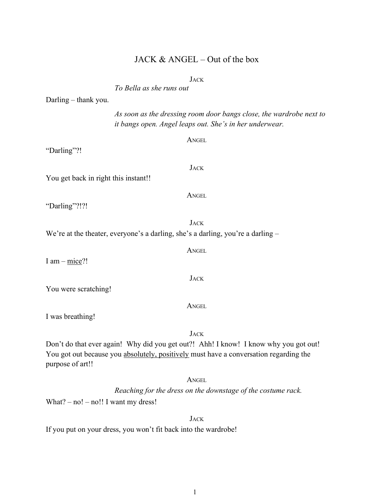## JACK & ANGEL – Out of the box

JACK

To Bella as she runs out

Reaching for the dress on the downstage of the costume rack.

What? – no! – no!! I want my dress!

JACK

If you put on your dress, you won't fit back into the wardrobe!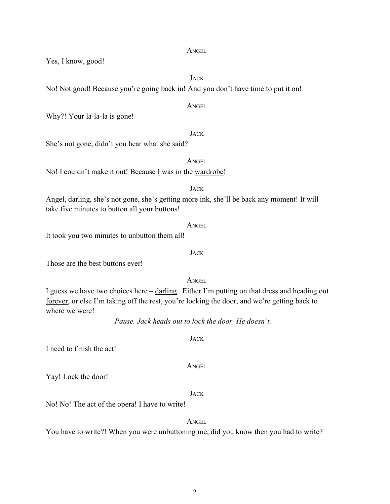ANGEL

**JACK** 

ANGEL

**JACK** 

ANGEL

Yes, I know, good!

No! Not good! Because you're going back in! And you don't have time to put it on!

Why?! Your la-la-la is gone!

She's not gone, didn't you hear what she said?

No! I couldn't make it out! Because I was in the wardrobe!

### JACK

Angel, darling, she's not gone, she's getting more ink, she'll be back any moment! It will take five minutes to button all your buttons!

ANGEL

It took you two minutes to unbutton them all!

Those are the best buttons ever!

ANGEL

**JACK** 

I guess we have two choices here – darling . Either I'm putting on that dress and heading out forever, or else I'm taking off the rest, you're locking the door, and we're getting back to where we were!

Pause. Jack heads out to lock the door. He doesn't.

I need to finish the act!

Yay! Lock the door!

No! No! The act of the opera! I have to write!

ANGEL

You have to write?! When you were unbuttoning me, did you know then you had to write?

## **JACK**

# ANGEL

JACK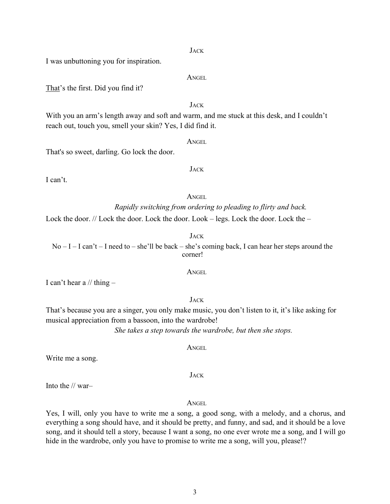JACK

**ANGEL** 

JACK

I was unbuttoning you for inspiration.

That's the first. Did you find it?

With you an arm's length away and soft and warm, and me stuck at this desk, and I couldn't reach out, touch you, smell your skin? Yes, I did find it.

That's so sweet, darling. Go lock the door.

I can't.

ANGEL

Rapidly switching from ordering to pleading to flirty and back.

Lock the door. // Lock the door. Lock the door. Look – legs. Lock the door. Lock the –

 $No - I - I can't - I need to - she'll be back - she's coming back, I can hear her steps around the$ corner!

ANGEL

JACK

I can't hear a  $//$  thing  $-$ 

That's because you are a singer, you only make music, you don't listen to it, it's like asking for musical appreciation from a bassoon, into the wardrobe!

She takes a step towards the wardrobe, but then she stops.

Write me a song.

Into the // war–

Yes, I will, only you have to write me a song, a good song, with a melody, and a chorus, and everything a song should have, and it should be pretty, and funny, and sad, and it should be a love song, and it should tell a story, because I want a song, no one ever wrote me a song, and I will go hide in the wardrobe, only you have to promise to write me a song, will you, please!?

ANGEL

JACK

JACK

ANGEL

JACK

ANGEL